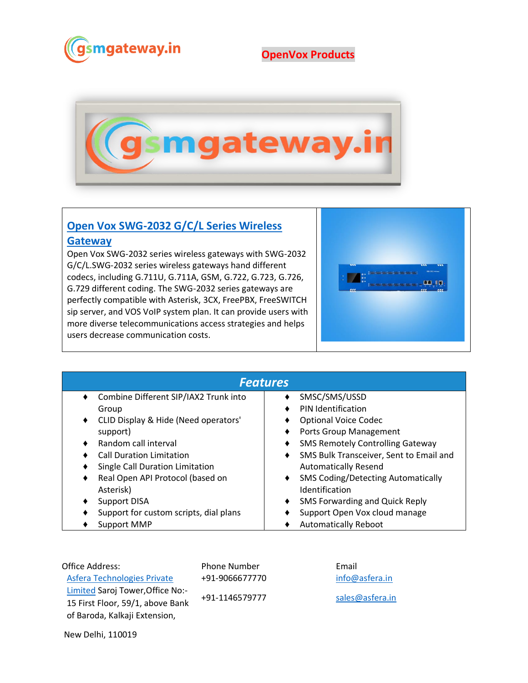

## **OpenVox Products**



## **[Open Vox SWG-2032 G/C/L Series Wireless](https://www.gsmgateway.in/openvox/SWG-2032-G-C-L-Series-Wireless-Gateway.html)**

## **[Gateway](https://www.gsmgateway.in/openvox/SWG-2032-G-C-L-Series-Wireless-Gateway.html)**

Open Vox SWG-2032 series wireless gateways with SWG-2032 G/C/L.SWG-2032 series wireless gateways hand different codecs, including G.711U, G.711A, GSM, G.722, G.723, G.726, G.729 different coding. The SWG-2032 series gateways are perfectly compatible with Asterisk, 3CX, FreePBX, FreeSWITCH sip server, and VOS VoIP system plan. It can provide users with more diverse telecommunications access strategies and helps users decrease communication costs.



| <b>Features</b>                                   |                                                |  |  |  |
|---------------------------------------------------|------------------------------------------------|--|--|--|
| Combine Different SIP/IAX2 Trunk into<br>٠        | SMSC/SMS/USSD                                  |  |  |  |
| Group                                             | <b>PIN Identification</b>                      |  |  |  |
| CLID Display & Hide (Need operators'<br>$\bullet$ | <b>Optional Voice Codec</b>                    |  |  |  |
| support)                                          | Ports Group Management                         |  |  |  |
| Random call interval                              | <b>SMS Remotely Controlling Gateway</b>        |  |  |  |
| <b>Call Duration Limitation</b>                   | SMS Bulk Transceiver, Sent to Email and        |  |  |  |
| Single Call Duration Limitation                   | <b>Automatically Resend</b>                    |  |  |  |
| Real Open API Protocol (based on                  | <b>SMS Coding/Detecting Automatically</b><br>٠ |  |  |  |
| Asterisk)                                         | Identification                                 |  |  |  |
| <b>Support DISA</b>                               | SMS Forwarding and Quick Reply<br>٠            |  |  |  |
| Support for custom scripts, dial plans            | Support Open Vox cloud manage                  |  |  |  |
| <b>Support MMP</b>                                | <b>Automatically Reboot</b>                    |  |  |  |

Office Address: [Asfera Technologies Private](https://www.asfera.in/)  [Limited](https://www.asfera.in/) Saroj Tower,Office No:- 15 First Floor, 59/1, above Bank of Baroda, Kalkaji Extension,

Phone Number +91-9066677770

+91-1146579777

Email [info@asfera.in](mailto:info@asfera.in) [sales@asfera.in](mailto:sales@asfera.in)

New Delhi, 110019